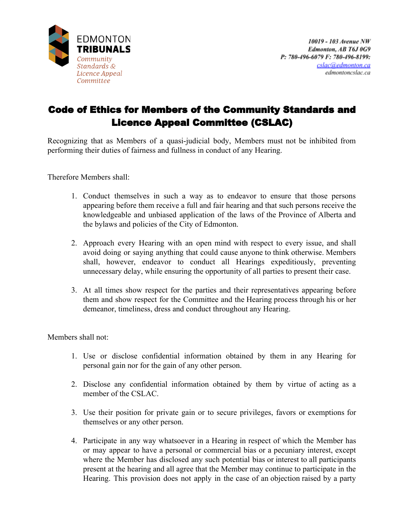

## Code of Ethics for Members of the Community Standards and Licence Appeal Committee (CSLAC)

Recognizing that as Members of a quasi-judicial body, Members must not be inhibited from performing their duties of fairness and fullness in conduct of any Hearing.

Therefore Members shall:

- 1. Conduct themselves in such a way as to endeavor to ensure that those persons appearing before them receive a full and fair hearing and that such persons receive the knowledgeable and unbiased application of the laws of the Province of Alberta and the bylaws and policies of the City of Edmonton.
- 2. Approach every Hearing with an open mind with respect to every issue, and shall avoid doing or saying anything that could cause anyone to think otherwise. Members shall, however, endeavor to conduct all Hearings expeditiously, preventing unnecessary delay, while ensuring the opportunity of all parties to present their case.
- 3. At all times show respect for the parties and their representatives appearing before them and show respect for the Committee and the Hearing process through his or her demeanor, timeliness, dress and conduct throughout any Hearing.

Members shall not:

- 1. Use or disclose confidential information obtained by them in any Hearing for personal gain nor for the gain of any other person.
- 2. Disclose any confidential information obtained by them by virtue of acting as a member of the CSLAC.
- 3. Use their position for private gain or to secure privileges, favors or exemptions for themselves or any other person.
- 4. Participate in any way whatsoever in a Hearing in respect of which the Member has or may appear to have a personal or commercial bias or a pecuniary interest, except where the Member has disclosed any such potential bias or interest to all participants present at the hearing and all agree that the Member may continue to participate in the Hearing. This provision does not apply in the case of an objection raised by a party